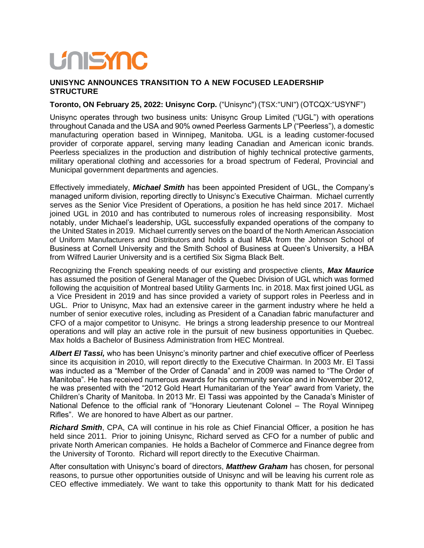## **UNISYNC**

## **UNISYNC ANNOUNCES TRANSITION TO A NEW FOCUSED LEADERSHIP STRUCTURE**

## **Toronto, ON February 25, 2022: Unisync Corp.** ("Unisync") (TSX:"UNI") (OTCQX:"USYNF")

Unisync operates through two business units: Unisync Group Limited ("UGL") with operations throughout Canada and the USA and 90% owned Peerless Garments LP ("Peerless"), a domestic manufacturing operation based in Winnipeg, Manitoba. UGL is a leading customer-focused provider of corporate apparel, serving many leading Canadian and American iconic brands. Peerless specializes in the production and distribution of highly technical protective garments, military operational clothing and accessories for a broad spectrum of Federal, Provincial and Municipal government departments and agencies.

Effectively immediately, *Michael Smith* has been appointed President of UGL, the Company's managed uniform division, reporting directly to Unisync's Executive Chairman. Michael currently serves as the Senior Vice President of Operations, a position he has held since 2017. Michael joined UGL in 2010 and has contributed to numerous roles of increasing responsibility. Most notably, under Michael's leadership, UGL successfully expanded operations of the company to the United States in 2019. Michael currently serves on the board of the North American Association of Uniform Manufacturers and Distributors and holds a dual MBA from the Johnson School of Business at Cornell University and the Smith School of Business at Queen's University, a HBA from Wilfred Laurier University and is a certified Six Sigma Black Belt.

Recognizing the French speaking needs of our existing and prospective clients, *Max Maurice* has assumed the position of General Manager of the Quebec Division of UGL which was formed following the acquisition of Montreal based Utility Garments Inc. in 2018. Max first joined UGL as a Vice President in 2019 and has since provided a variety of support roles in Peerless and in UGL. Prior to Unisync, Max had an extensive career in the garment industry where he held a number of senior executive roles, including as President of a Canadian fabric manufacturer and CFO of a major competitor to Unisync. He brings a strong leadership presence to our Montreal operations and will play an active role in the pursuit of new business opportunities in Quebec. Max holds a Bachelor of Business Administration from HEC Montreal.

*Albert El Tassi,* who has been Unisync's minority partner and chief executive officer of Peerless since its acquisition in 2010, will report directly to the Executive Chairman. In 2003 Mr. El Tassi was inducted as a "Member of the Order of Canada" and in 2009 was named to "The Order of Manitoba". He has received numerous awards for his community service and in November 2012, he was presented with the "2012 Gold Heart Humanitarian of the Year" award from Variety, the Children's Charity of Manitoba. In 2013 Mr. El Tassi was appointed by the Canada's Minister of National Defence to the official rank of "Honorary Lieutenant Colonel – The Royal Winnipeg Rifles". We are honored to have Albert as our partner.

*Richard Smith*, CPA, CA will continue in his role as Chief Financial Officer, a position he has held since 2011. Prior to joining Unisync, Richard served as CFO for a number of public and private North American companies. He holds a Bachelor of Commerce and Finance degree from the University of Toronto. Richard will report directly to the Executive Chairman.

After consultation with Unisync's board of directors, *Matthew Graham* has chosen, for personal reasons, to pursue other opportunities outside of Unisync and will be leaving his current role as CEO effective immediately. We want to take this opportunity to thank Matt for his dedicated